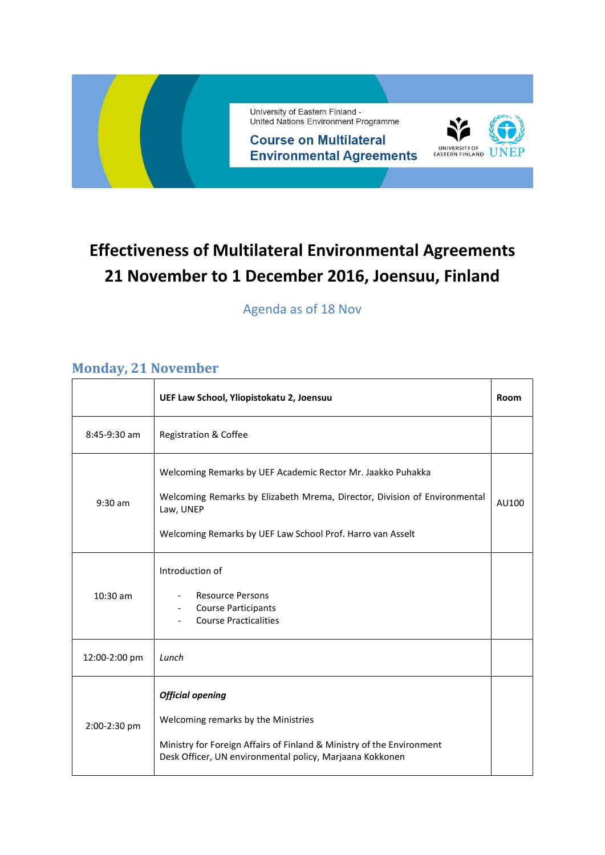

## **Effectiveness of Multilateral Environmental Agreements 21 November to 1 December 2016, Joensuu, Finland**

#### Agenda as of 18 Nov

#### **Monday, 21 November**

|                | UEF Law School, Yliopistokatu 2, Joensuu                                                                                                                                                                            | Room  |
|----------------|---------------------------------------------------------------------------------------------------------------------------------------------------------------------------------------------------------------------|-------|
| $8:45-9:30$ am | Registration & Coffee                                                                                                                                                                                               |       |
| $9:30$ am      | Welcoming Remarks by UEF Academic Rector Mr. Jaakko Puhakka<br>Welcoming Remarks by Elizabeth Mrema, Director, Division of Environmental<br>Law, UNEP<br>Welcoming Remarks by UEF Law School Prof. Harro van Asselt | AU100 |
| 10:30 am       | Introduction of<br><b>Resource Persons</b><br><b>Course Participants</b><br>$\overline{\phantom{a}}$<br><b>Course Practicalities</b>                                                                                |       |
| 12:00-2:00 pm  | Lunch                                                                                                                                                                                                               |       |
| 2:00-2:30 pm   | <b>Official opening</b><br>Welcoming remarks by the Ministries<br>Ministry for Foreign Affairs of Finland & Ministry of the Environment<br>Desk Officer, UN environmental policy, Marjaana Kokkonen                 |       |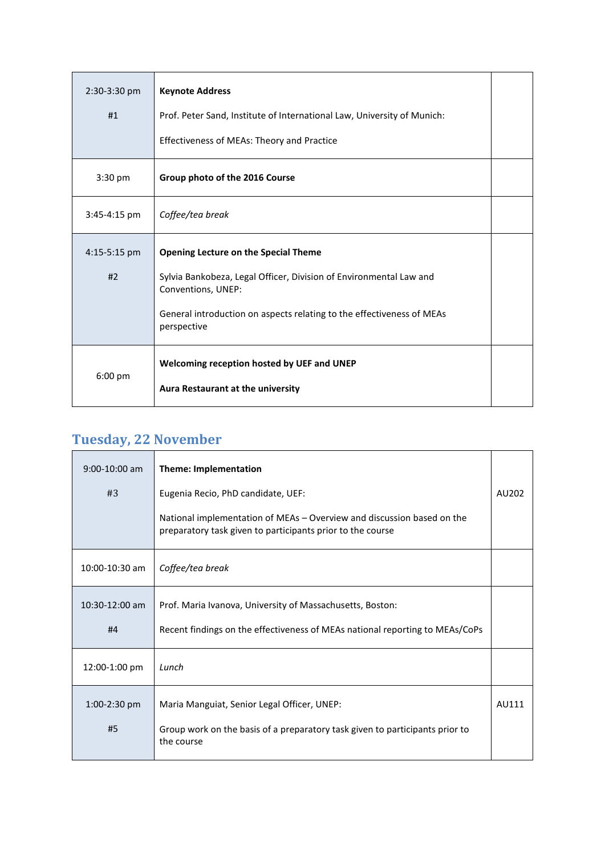| 2:30-3:30 pm | <b>Keynote Address</b>                                                                   |  |
|--------------|------------------------------------------------------------------------------------------|--|
| #1           | Prof. Peter Sand, Institute of International Law, University of Munich:                  |  |
|              | Effectiveness of MEAs: Theory and Practice                                               |  |
| 3:30 pm      | Group photo of the 2016 Course                                                           |  |
| 3:45-4:15 pm | Coffee/tea break                                                                         |  |
| 4:15-5:15 pm | <b>Opening Lecture on the Special Theme</b>                                              |  |
| #2           | Sylvia Bankobeza, Legal Officer, Division of Environmental Law and<br>Conventions, UNEP: |  |
|              | General introduction on aspects relating to the effectiveness of MEAs<br>perspective     |  |
| 6:00 pm      | Welcoming reception hosted by UEF and UNEP<br>Aura Restaurant at the university          |  |

#### **Tuesday, 22 November**

| $9:00-10:00$ am  | <b>Theme: Implementation</b>                                                                                                         |       |
|------------------|--------------------------------------------------------------------------------------------------------------------------------------|-------|
| #3               | Eugenia Recio, PhD candidate, UEF:                                                                                                   | AU202 |
|                  | National implementation of MEAs - Overview and discussion based on the<br>preparatory task given to participants prior to the course |       |
| 10:00-10:30 am   | Coffee/tea break                                                                                                                     |       |
| $10:30-12:00$ am | Prof. Maria Ivanova, University of Massachusetts, Boston:                                                                            |       |
| #4               | Recent findings on the effectiveness of MEAs national reporting to MEAs/CoPs                                                         |       |
| 12:00-1:00 pm    | Lunch                                                                                                                                |       |
| $1:00-2:30$ pm   | Maria Manguiat, Senior Legal Officer, UNEP:                                                                                          | AU111 |
| #5               | Group work on the basis of a preparatory task given to participants prior to<br>the course                                           |       |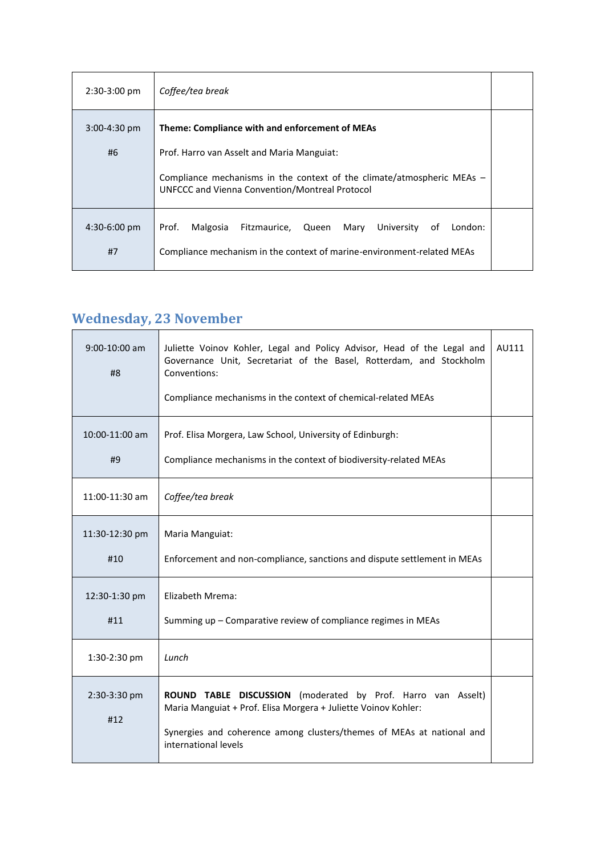| $2:30-3:00$ pm | Coffee/tea break                                                                                                         |  |
|----------------|--------------------------------------------------------------------------------------------------------------------------|--|
| $3:00-4:30$ pm | Theme: Compliance with and enforcement of MEAs                                                                           |  |
| #6             | Prof. Harro van Asselt and Maria Manguiat:                                                                               |  |
|                | Compliance mechanisms in the context of the climate/atmospheric MEAs -<br>UNFCCC and Vienna Convention/Montreal Protocol |  |
| $4:30-6:00$ pm | Prof.<br>Malgosia<br>Queen<br>Fitzmaurice,<br>Mary<br>University<br>London:<br>of                                        |  |
| #7             | Compliance mechanism in the context of marine-environment-related MEAs                                                   |  |

# **Wednesday, 23 November**

| 9:00-10:00 am<br>#8   | Juliette Voinov Kohler, Legal and Policy Advisor, Head of the Legal and<br>Governance Unit, Secretariat of the Basel, Rotterdam, and Stockholm<br>Conventions:<br>Compliance mechanisms in the context of chemical-related MEAs | AU111 |
|-----------------------|---------------------------------------------------------------------------------------------------------------------------------------------------------------------------------------------------------------------------------|-------|
| 10:00-11:00 am<br>#9  | Prof. Elisa Morgera, Law School, University of Edinburgh:<br>Compliance mechanisms in the context of biodiversity-related MEAs                                                                                                  |       |
| 11:00-11:30 am        | Coffee/tea break                                                                                                                                                                                                                |       |
| 11:30-12:30 pm<br>#10 | Maria Manguiat:<br>Enforcement and non-compliance, sanctions and dispute settlement in MEAs                                                                                                                                     |       |
| 12:30-1:30 pm<br>#11  | Elizabeth Mrema:<br>Summing up - Comparative review of compliance regimes in MEAs                                                                                                                                               |       |
| 1:30-2:30 pm          | Lunch                                                                                                                                                                                                                           |       |
| 2:30-3:30 pm<br>#12   | ROUND TABLE DISCUSSION (moderated by Prof. Harro van Asselt)<br>Maria Manguiat + Prof. Elisa Morgera + Juliette Voinov Kohler:<br>Synergies and coherence among clusters/themes of MEAs at national and<br>international levels |       |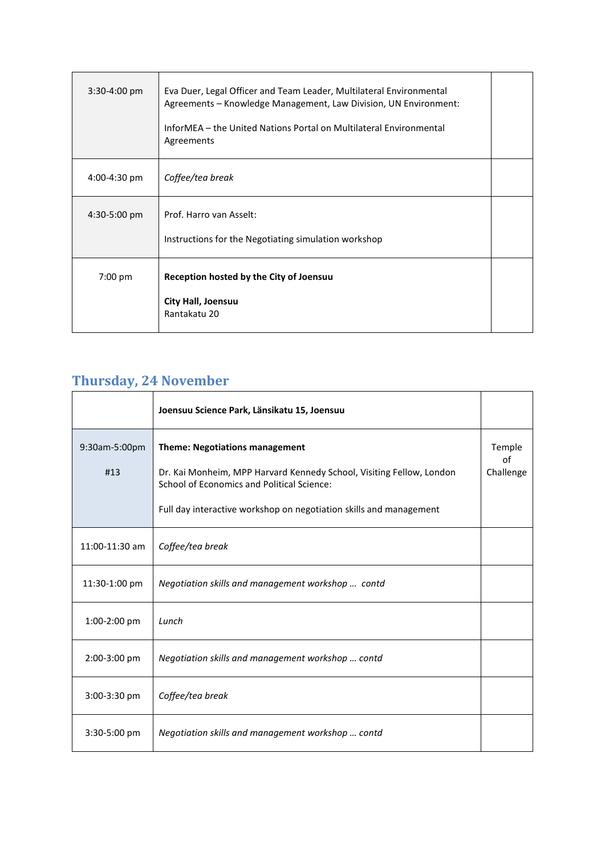| $3:30-4:00$ pm | Eva Duer, Legal Officer and Team Leader, Multilateral Environmental<br>Agreements - Knowledge Management, Law Division, UN Environment:<br>InforMEA - the United Nations Portal on Multilateral Environmental<br>Agreements |  |
|----------------|-----------------------------------------------------------------------------------------------------------------------------------------------------------------------------------------------------------------------------|--|
| 4:00-4:30 pm   | Coffee/tea break                                                                                                                                                                                                            |  |
| $4:30-5:00$ pm | Prof. Harro van Asselt:<br>Instructions for the Negotiating simulation workshop                                                                                                                                             |  |
| $7:00$ pm      | Reception hosted by the City of Joensuu<br><b>City Hall, Joensuu</b><br>Rantakatu 20                                                                                                                                        |  |

#### **Thursday, 24 November**

|                      | Joensuu Science Park, Länsikatu 15, Joensuu                                                                                                                                                                                       |                                   |
|----------------------|-----------------------------------------------------------------------------------------------------------------------------------------------------------------------------------------------------------------------------------|-----------------------------------|
| 9:30am-5:00pm<br>#13 | <b>Theme: Negotiations management</b><br>Dr. Kai Monheim, MPP Harvard Kennedy School, Visiting Fellow, London<br>School of Economics and Political Science:<br>Full day interactive workshop on negotiation skills and management | Temple<br>$\alpha$ f<br>Challenge |
| 11:00-11:30 am       | Coffee/tea break                                                                                                                                                                                                                  |                                   |
| 11:30-1:00 pm        | Negotiation skills and management workshop  contd                                                                                                                                                                                 |                                   |
| 1:00-2:00 pm         | Lunch                                                                                                                                                                                                                             |                                   |
| 2:00-3:00 pm         | Negotiation skills and management workshop  contd                                                                                                                                                                                 |                                   |
| 3:00-3:30 pm         | Coffee/tea break                                                                                                                                                                                                                  |                                   |
| 3:30-5:00 pm         | Negotiation skills and management workshop  contd                                                                                                                                                                                 |                                   |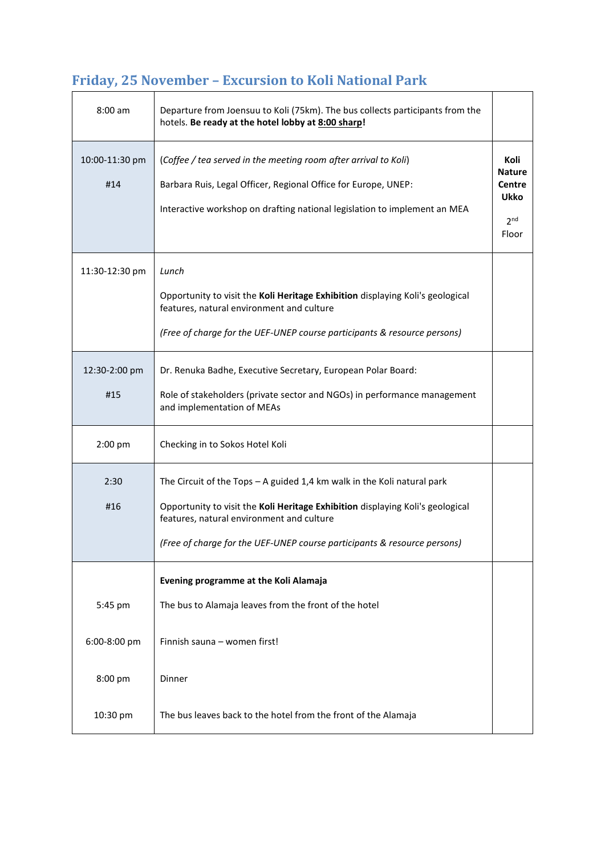## **Friday, 25 November – Excursion to Koli National Park**

| $8:00$ am             | Departure from Joensuu to Koli (75km). The bus collects participants from the<br>hotels. Be ready at the hotel lobby at 8:00 sharp!                                                                                                                                                  |                                                                                   |
|-----------------------|--------------------------------------------------------------------------------------------------------------------------------------------------------------------------------------------------------------------------------------------------------------------------------------|-----------------------------------------------------------------------------------|
| 10:00-11:30 pm<br>#14 | (Coffee / tea served in the meeting room after arrival to Koli)<br>Barbara Ruis, Legal Officer, Regional Office for Europe, UNEP:<br>Interactive workshop on drafting national legislation to implement an MEA                                                                       | Koli<br><b>Nature</b><br><b>Centre</b><br><b>Ukko</b><br>2 <sup>nd</sup><br>Floor |
| 11:30-12:30 pm        | Lunch<br>Opportunity to visit the Koli Heritage Exhibition displaying Koli's geological<br>features, natural environment and culture<br>(Free of charge for the UEF-UNEP course participants & resource persons)                                                                     |                                                                                   |
| 12:30-2:00 pm<br>#15  | Dr. Renuka Badhe, Executive Secretary, European Polar Board:<br>Role of stakeholders (private sector and NGOs) in performance management<br>and implementation of MEAs                                                                                                               |                                                                                   |
| 2:00 pm               | Checking in to Sokos Hotel Koli                                                                                                                                                                                                                                                      |                                                                                   |
| 2:30<br>#16           | The Circuit of the Tops $-$ A guided 1,4 km walk in the Koli natural park<br>Opportunity to visit the Koli Heritage Exhibition displaying Koli's geological<br>features, natural environment and culture<br>(Free of charge for the UEF-UNEP course participants & resource persons) |                                                                                   |
|                       | Evening programme at the Koli Alamaja                                                                                                                                                                                                                                                |                                                                                   |
| 5:45 pm               | The bus to Alamaja leaves from the front of the hotel                                                                                                                                                                                                                                |                                                                                   |
| 6:00-8:00 pm          | Finnish sauna - women first!                                                                                                                                                                                                                                                         |                                                                                   |
| 8:00 pm               | Dinner                                                                                                                                                                                                                                                                               |                                                                                   |
| 10:30 pm              | The bus leaves back to the hotel from the front of the Alamaja                                                                                                                                                                                                                       |                                                                                   |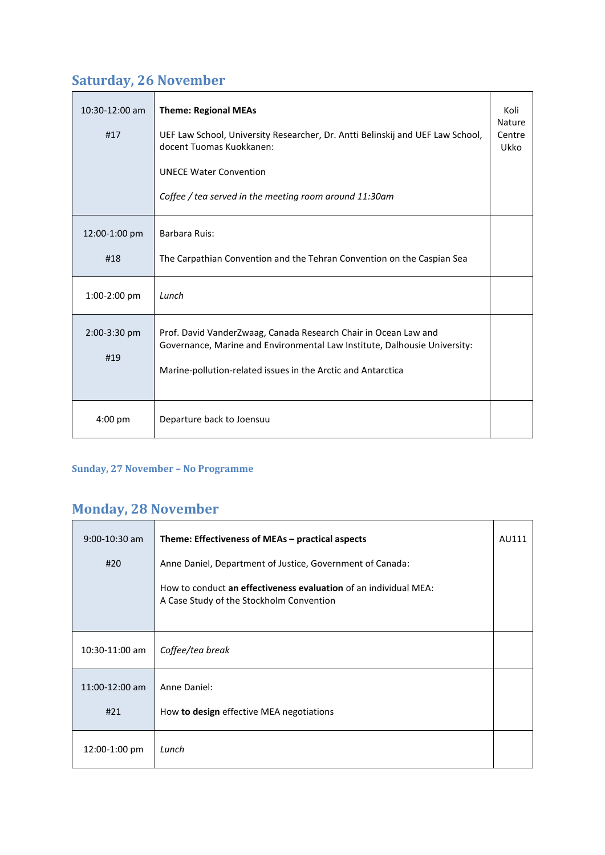#### **Saturday, 26 November**

| 10:30-12:00 am<br>#17 | <b>Theme: Regional MEAs</b><br>UEF Law School, University Researcher, Dr. Antti Belinskij and UEF Law School,<br>docent Tuomas Kuokkanen:<br><b>UNECE Water Convention</b><br>Coffee / tea served in the meeting room around 11:30am | Koli<br><b>Nature</b><br>Centre<br>Ukko |
|-----------------------|--------------------------------------------------------------------------------------------------------------------------------------------------------------------------------------------------------------------------------------|-----------------------------------------|
| 12:00-1:00 pm<br>#18  | Barbara Ruis:<br>The Carpathian Convention and the Tehran Convention on the Caspian Sea                                                                                                                                              |                                         |
| 1:00-2:00 pm          | Lunch                                                                                                                                                                                                                                |                                         |
| 2:00-3:30 pm<br>#19   | Prof. David VanderZwaag, Canada Research Chair in Ocean Law and<br>Governance, Marine and Environmental Law Institute, Dalhousie University:<br>Marine-pollution-related issues in the Arctic and Antarctica                         |                                         |
| $4:00$ pm             | Departure back to Joensuu                                                                                                                                                                                                            |                                         |

#### **Sunday, 27 November – No Programme**

### **Monday, 28 November**

| $9:00 - 10:30$ am       | Theme: Effectiveness of MEAs – practical aspects                                                             | AU111 |
|-------------------------|--------------------------------------------------------------------------------------------------------------|-------|
| #20                     | Anne Daniel, Department of Justice, Government of Canada:                                                    |       |
|                         | How to conduct an effectiveness evaluation of an individual MEA:<br>A Case Study of the Stockholm Convention |       |
| 10:30-11:00 am          | Coffee/tea break                                                                                             |       |
| $11:00-12:00$ am<br>#21 | Anne Daniel:<br>How to design effective MEA negotiations                                                     |       |
| 12:00-1:00 pm           | Lunch                                                                                                        |       |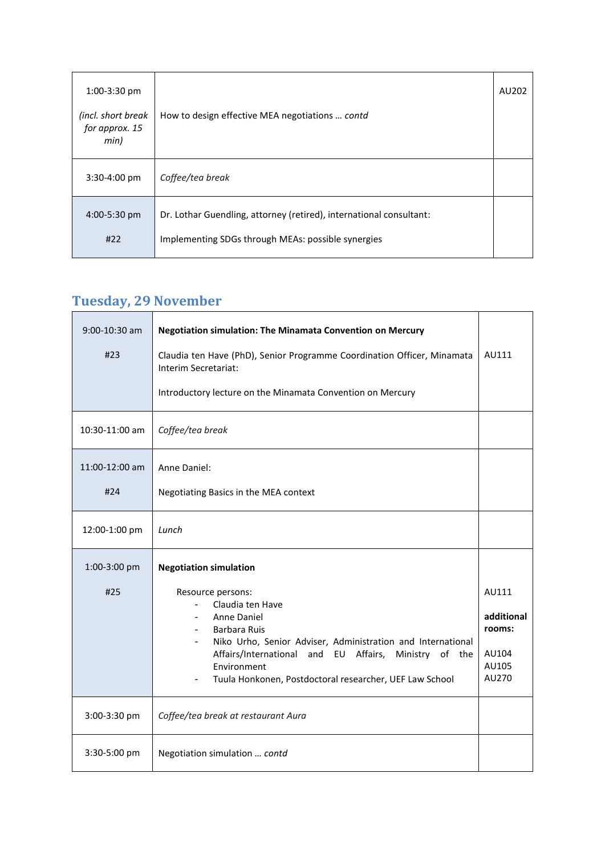| $1:00-3:30$ pm<br>(incl. short break)<br>for approx. 15<br>min) | How to design effective MEA negotiations  contd                                                                           | AU202 |
|-----------------------------------------------------------------|---------------------------------------------------------------------------------------------------------------------------|-------|
| 3:30-4:00 pm                                                    | Coffee/tea break                                                                                                          |       |
| $4:00-5:30$ pm<br>#22                                           | Dr. Lothar Guendling, attorney (retired), international consultant:<br>Implementing SDGs through MEAs: possible synergies |       |

### **Tuesday, 29 November**

| $9:00-10:30$ am<br>#23                 | <b>Negotiation simulation: The Minamata Convention on Mercury</b><br>Claudia ten Have (PhD), Senior Programme Coordination Officer, Minamata<br>Interim Secretariat:<br>Introductory lecture on the Minamata Convention on Mercury                                                                      | AU111                                                    |
|----------------------------------------|---------------------------------------------------------------------------------------------------------------------------------------------------------------------------------------------------------------------------------------------------------------------------------------------------------|----------------------------------------------------------|
| 10:30-11:00 am                         | Coffee/tea break                                                                                                                                                                                                                                                                                        |                                                          |
| 11:00-12:00 am<br>#24<br>12:00-1:00 pm | Anne Daniel:<br>Negotiating Basics in the MEA context<br>Lunch                                                                                                                                                                                                                                          |                                                          |
| $1:00-3:00$ pm<br>#25                  | <b>Negotiation simulation</b><br>Resource persons:<br>Claudia ten Have<br>Anne Daniel<br>Barbara Ruis<br>Niko Urho, Senior Adviser, Administration and International<br>Affairs/International and EU Affairs, Ministry of the<br>Environment<br>Tuula Honkonen, Postdoctoral researcher, UEF Law School | AU111<br>additional<br>rooms:<br>AU104<br>AU105<br>AU270 |
| 3:00-3:30 pm                           | Coffee/tea break at restaurant Aura                                                                                                                                                                                                                                                                     |                                                          |
| 3:30-5:00 pm                           | Negotiation simulation  contd                                                                                                                                                                                                                                                                           |                                                          |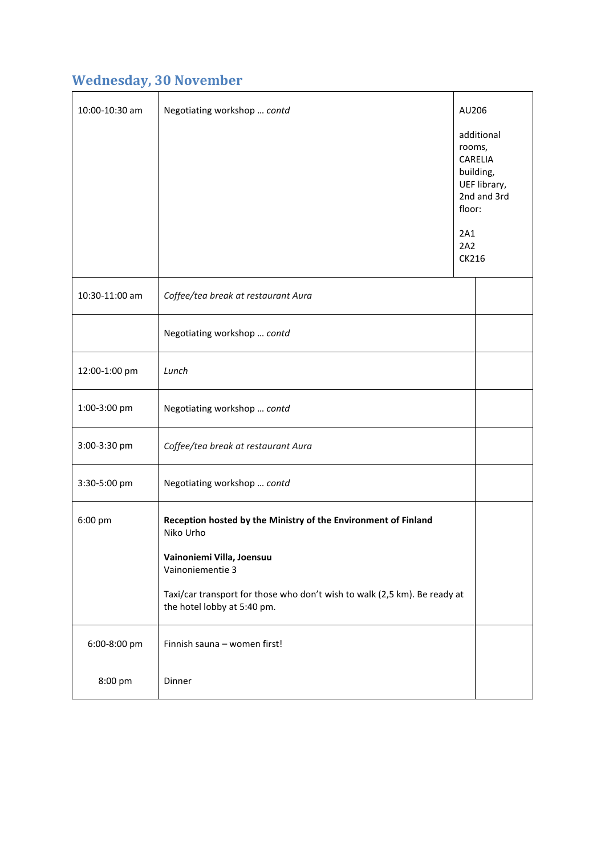### **Wednesday, 30 November**

| 10:00-10:30 am | Negotiating workshop  contd                                                                              | AU206<br>additional<br>rooms,<br>CARELIA<br>building,<br>UEF library,<br>2nd and 3rd<br>floor:<br>2A1<br>2A2<br>CK216 |  |
|----------------|----------------------------------------------------------------------------------------------------------|-----------------------------------------------------------------------------------------------------------------------|--|
| 10:30-11:00 am | Coffee/tea break at restaurant Aura                                                                      |                                                                                                                       |  |
|                | Negotiating workshop  contd                                                                              |                                                                                                                       |  |
| 12:00-1:00 pm  | Lunch                                                                                                    |                                                                                                                       |  |
| 1:00-3:00 pm   | Negotiating workshop  contd                                                                              |                                                                                                                       |  |
| 3:00-3:30 pm   | Coffee/tea break at restaurant Aura                                                                      |                                                                                                                       |  |
| 3:30-5:00 pm   | Negotiating workshop  contd                                                                              |                                                                                                                       |  |
| 6:00 pm        | Reception hosted by the Ministry of the Environment of Finland<br>Niko Urho                              |                                                                                                                       |  |
|                | Vainoniemi Villa, Joensuu<br>Vainoniementie 3                                                            |                                                                                                                       |  |
|                | Taxi/car transport for those who don't wish to walk (2,5 km). Be ready at<br>the hotel lobby at 5:40 pm. |                                                                                                                       |  |
| 6:00-8:00 pm   | Finnish sauna - women first!                                                                             |                                                                                                                       |  |
| 8:00 pm        | Dinner                                                                                                   |                                                                                                                       |  |